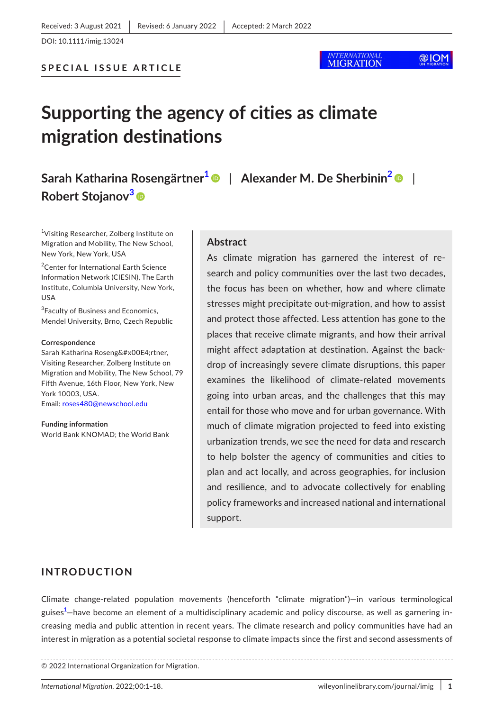# @IOM

# **Supporting the agency of cities as climate migration destinations**

**Sarah Katharina Rosengärtne[r1](#page-0-0)** | **Alexander M. De Sherbini[n2](#page-0-1)** | **Robert Stojanov[3](#page-0-2)**

<span id="page-0-0"></span><sup>1</sup>Visiting Researcher, Zolberg Institute on Migration and Mobility, The New School, New York, New York, USA

<span id="page-0-1"></span>2 Center for International Earth Science Information Network (CIESIN), The Earth Institute, Columbia University, New York, USA

<span id="page-0-2"></span><sup>3</sup> Faculty of Business and Economics, Mendel University, Brno, Czech Republic

#### **Correspondence**

Sarah Katharina Rosengärtner, Visiting Researcher, Zolberg Institute on Migration and Mobility, The New School, 79 Fifth Avenue, 16th Floor, New York, New York 10003, USA.

Email: [roses480@newschool.edu](mailto:roses480@newschool.edu)

**Funding information** World Bank KNOMAD; the World Bank

### **Abstract**

As climate migration has garnered the interest of research and policy communities over the last two decades, the focus has been on whether, how and where climate stresses might precipitate out-migration, and how to assist and protect those affected. Less attention has gone to the places that receive climate migrants, and how their arrival might affect adaptation at destination. Against the backdrop of increasingly severe climate disruptions, this paper examines the likelihood of climate-related movements going into urban areas, and the challenges that this may entail for those who move and for urban governance. With much of climate migration projected to feed into existing urbanization trends, we see the need for data and research to help bolster the agency of communities and cities to plan and act locally, and across geographies, for inclusion and resilience, and to advocate collectively for enabling policy frameworks and increased national and international support.

# **INTRODUCTION**

Climate change-related population movements (henceforth "climate migration")—in various terminological guises<sup>[1](#page-11-0)</sup>—have become an element of a multidisciplinary academic and policy discourse, as well as garnering increasing media and public attention in recent years. The climate research and policy communities have had an interest in migration as a potential societal response to climate impacts since the first and second assessments of

© 2022 International Organization for Migration.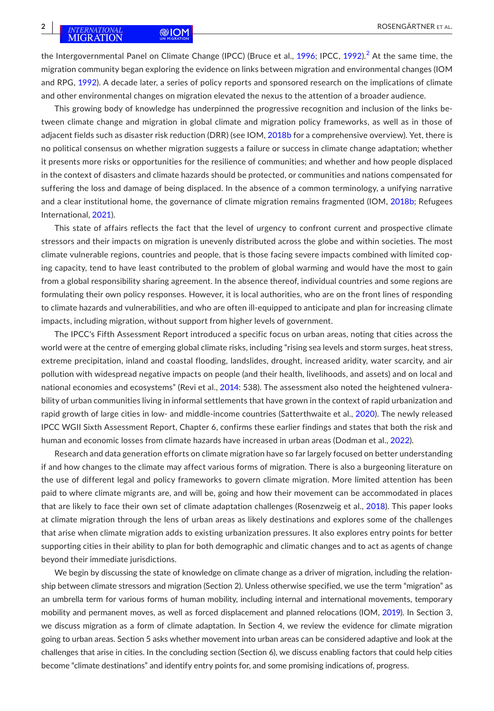the Intergovernmental Panel on Climate Change (IPCC) (Bruce et al., [1996](#page-13-0); IPCC, [1992](#page-15-0)).<sup>[2](#page-11-1)</sup> At the same time, the migration community began exploring the evidence on links between migration and environmental changes (IOM and RPG, [1992](#page-14-0)). A decade later, a series of policy reports and sponsored research on the implications of climate and other environmental changes on migration elevated the nexus to the attention of a broader audience.

This growing body of knowledge has underpinned the progressive recognition and inclusion of the links between climate change and migration in global climate and migration policy frameworks, as well as in those of adjacent fields such as disaster risk reduction (DRR) (see IOM, [2018b](#page-14-1) for a comprehensive overview). Yet, there is no political consensus on whether migration suggests a failure or success in climate change adaptation; whether it presents more risks or opportunities for the resilience of communities; and whether and how people displaced in the context of disasters and climate hazards should be protected, or communities and nations compensated for suffering the loss and damage of being displaced. In the absence of a common terminology, a unifying narrative and a clear institutional home, the governance of climate migration remains fragmented (IOM, [2018b](#page-14-1); Refugees International, [2021](#page-16-0)).

This state of affairs reflects the fact that the level of urgency to confront current and prospective climate stressors and their impacts on migration is unevenly distributed across the globe and within societies. The most climate vulnerable regions, countries and people, that is those facing severe impacts combined with limited coping capacity, tend to have least contributed to the problem of global warming and would have the most to gain from a global responsibility sharing agreement. In the absence thereof, individual countries and some regions are formulating their own policy responses. However, it is local authorities, who are on the front lines of responding to climate hazards and vulnerabilities, and who are often ill-equipped to anticipate and plan for increasing climate impacts, including migration, without support from higher levels of government.

The IPCC's Fifth Assessment Report introduced a specific focus on urban areas, noting that cities across the world were at the centre of emerging global climate risks, including "rising sea levels and storm surges, heat stress, extreme precipitation, inland and coastal flooding, landslides, drought, increased aridity, water scarcity, and air pollution with widespread negative impacts on people (and their health, livelihoods, and assets) and on local and national economies and ecosystems" (Revi et al., [2014](#page-16-1): 538). The assessment also noted the heightened vulnerability of urban communities living in informal settlements that have grown in the context of rapid urbanization and rapid growth of large cities in low- and middle-income countries (Satterthwaite et al., [2020\)](#page-16-2). The newly released IPCC WGII Sixth Assessment Report, Chapter 6, confirms these earlier findings and states that both the risk and human and economic losses from climate hazards have increased in urban areas (Dodman et al., [2022](#page-13-1)).

Research and data generation efforts on climate migration have so far largely focused on better understanding if and how changes to the climate may affect various forms of migration. There is also a burgeoning literature on the use of different legal and policy frameworks to govern climate migration. More limited attention has been paid to where climate migrants are, and will be, going and how their movement can be accommodated in places that are likely to face their own set of climate adaptation challenges (Rosenzweig et al., [2018](#page-16-3)). This paper looks at climate migration through the lens of urban areas as likely destinations and explores some of the challenges that arise when climate migration adds to existing urbanization pressures. It also explores entry points for better supporting cities in their ability to plan for both demographic and climatic changes and to act as agents of change beyond their immediate jurisdictions.

We begin by discussing the state of knowledge on climate change as a driver of migration, including the relationship between climate stressors and migration (Section 2). Unless otherwise specified, we use the term "migration" as an umbrella term for various forms of human mobility, including internal and international movements, temporary mobility and permanent moves, as well as forced displacement and planned relocations (IOM, [2019](#page-14-2)). In Section 3, we discuss migration as a form of climate adaptation. In Section 4, we review the evidence for climate migration going to urban areas. Section 5 asks whether movement into urban areas can be considered adaptive and look at the challenges that arise in cities. In the concluding section (Section 6), we discuss enabling factors that could help cities become "climate destinations" and identify entry points for, and some promising indications of, progress.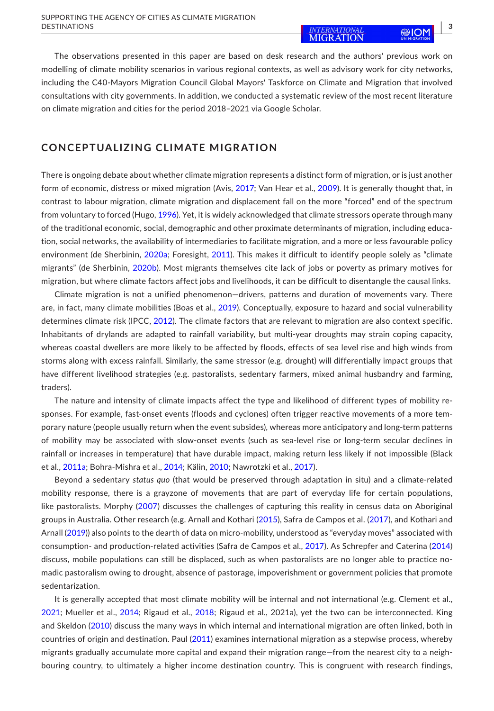The observations presented in this paper are based on desk research and the authors' previous work on modelling of climate mobility scenarios in various regional contexts, as well as advisory work for city networks, including the C40-Mayors Migration Council Global Mayors' Taskforce on Climate and Migration that involved consultations with city governments. In addition, we conducted a systematic review of the most recent literature on climate migration and cities for the period 2018–2021 via Google Scholar.

# **CONCEPTUALIZING CLIMATE MIGRATION**

There is ongoing debate about whether climate migration represents a distinct form of migration, or is just another form of economic, distress or mixed migration (Avis, [2017](#page-12-0); Van Hear et al., [2009](#page-17-0)). It is generally thought that, in contrast to labour migration, climate migration and displacement fall on the more "forced" end of the spectrum from voluntary to forced (Hugo, [1996](#page-14-3)). Yet, it is widely acknowledged that climate stressors operate through many of the traditional economic, social, demographic and other proximate determinants of migration, including education, social networks, the availability of intermediaries to facilitate migration, and a more or less favourable policy environment (de Sherbinin, [2020a](#page-13-2); Foresight, [2011](#page-14-4)). This makes it difficult to identify people solely as "climate migrants" (de Sherbinin, [2020b](#page-13-3)). Most migrants themselves cite lack of jobs or poverty as primary motives for migration, but where climate factors affect jobs and livelihoods, it can be difficult to disentangle the causal links.

Climate migration is not a unified phenomenon—drivers, patterns and duration of movements vary. There are, in fact, many climate mobilities (Boas et al., [2019](#page-13-4)). Conceptually, exposure to hazard and social vulnerability determines climate risk (IPCC, [2012](#page-15-1)). The climate factors that are relevant to migration are also context specific. Inhabitants of drylands are adapted to rainfall variability, but multi-year droughts may strain coping capacity, whereas coastal dwellers are more likely to be affected by floods, effects of sea level rise and high winds from storms along with excess rainfall. Similarly, the same stressor (e.g. drought) will differentially impact groups that have different livelihood strategies (e.g. pastoralists, sedentary farmers, mixed animal husbandry and farming, traders).

The nature and intensity of climate impacts affect the type and likelihood of different types of mobility responses. For example, fast-onset events (floods and cyclones) often trigger reactive movements of a more temporary nature (people usually return when the event subsides), whereas more anticipatory and long-term patterns of mobility may be associated with slow-onset events (such as sea-level rise or long-term secular declines in rainfall or increases in temperature) that have durable impact, making return less likely if not impossible (Black et al., [2011a](#page-12-1); Bohra-Mishra et al., [2014](#page-13-5); Kälin, [2010](#page-15-2); Nawrotzki et al., [2017](#page-15-3)).

Beyond a sedentary *status quo* (that would be preserved through adaptation in situ) and a climate-related mobility response, there is a grayzone of movements that are part of everyday life for certain populations, like pastoralists. Morphy ([2007](#page-15-4)) discusses the challenges of capturing this reality in census data on Aboriginal groups in Australia. Other research (e.g. Arnall and Kothari ([2015](#page-12-2)), Safra de Campos et al. ([2017](#page-16-4)), and Kothari and Arnall ([2019](#page-15-5))) also points to the dearth of data on micro-mobility, understood as "everyday moves" associated with consumption- and production-related activities (Safra de Campos et al., [2017](#page-16-4)). As Schrepfer and Caterina ([2014](#page-16-5)) discuss, mobile populations can still be displaced, such as when pastoralists are no longer able to practice nomadic pastoralism owing to drought, absence of pastorage, impoverishment or government policies that promote sedentarization.

It is generally accepted that most climate mobility will be internal and not international (e.g. Clement et al., [2021](#page-13-6); Mueller et al., [2014](#page-15-6); Rigaud et al., [2018](#page-16-6); Rigaud et al., 2021a), yet the two can be interconnected. King and Skeldon ([2010](#page-15-7)) discuss the many ways in which internal and international migration are often linked, both in countries of origin and destination. Paul [\(2011](#page-16-7)) examines international migration as a stepwise process, whereby migrants gradually accumulate more capital and expand their migration range—from the nearest city to a neighbouring country, to ultimately a higher income destination country. This is congruent with research findings,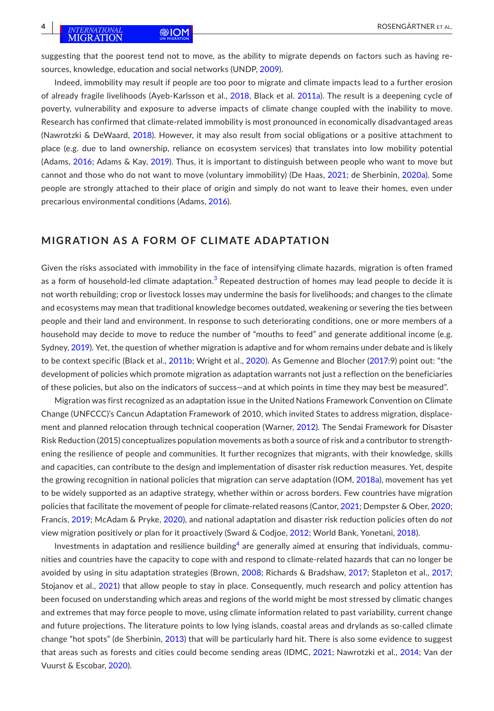suggesting that the poorest tend not to move, as the ability to migrate depends on factors such as having resources, knowledge, education and social networks (UNDP, [2009](#page-17-1)).

Indeed, immobility may result if people are too poor to migrate and climate impacts lead to a further erosion of already fragile livelihoods (Ayeb-Karlsson et al., [2018](#page-12-3), Black et al. [2011a](#page-12-1)). The result is a deepening cycle of poverty, vulnerability and exposure to adverse impacts of climate change coupled with the inability to move. Research has confirmed that climate-related immobility is most pronounced in economically disadvantaged areas (Nawrotzki & DeWaard, [2018](#page-15-8)). However, it may also result from social obligations or a positive attachment to place (e.g. due to land ownership, reliance on ecosystem services) that translates into low mobility potential (Adams, [2016](#page-12-4); Adams & Kay, [2019](#page-12-5)). Thus, it is important to distinguish between people who want to move but cannot and those who do not want to move (voluntary immobility) (De Haas, [2021](#page-13-7); de Sherbinin, [2020a](#page-13-2)). Some people are strongly attached to their place of origin and simply do not want to leave their homes, even under precarious environmental conditions (Adams, [2016](#page-12-4)).

### **MIGRATION AS A FORM OF CLIMATE ADAPTATION**

Given the risks associated with immobility in the face of intensifying climate hazards, migration is often framed as a form of household-led climate adaptation. $^3$  $^3$  Repeated destruction of homes may lead people to decide it is not worth rebuilding; crop or livestock losses may undermine the basis for livelihoods; and changes to the climate and ecosystems may mean that traditional knowledge becomes outdated, weakening or severing the ties between people and their land and environment. In response to such deteriorating conditions, one or more members of a household may decide to move to reduce the number of "mouths to feed" and generate additional income (e.g. Sydney, [2019](#page-17-2)). Yet, the question of whether migration is adaptive and for whom remains under debate and is likely to be context specific (Black et al., [2011b;](#page-12-6) Wright et al., [2020](#page-17-3)). As Gemenne and Blocher ([2017:](#page-14-5)9) point out: "the development of policies which promote migration as adaptation warrants not just a reflection on the beneficiaries of these policies, but also on the indicators of success—and at which points in time they may best be measured".

Migration was first recognized as an adaptation issue in the United Nations Framework Convention on Climate Change (UNFCCC)'s Cancun Adaptation Framework of 2010, which invited States to address migration, displacement and planned relocation through technical cooperation (Warner, [2012](#page-17-4)). The Sendai Framework for Disaster Risk Reduction (2015) conceptualizes population movements as both a source of risk and a contributor to strengthening the resilience of people and communities. It further recognizes that migrants, with their knowledge, skills and capacities, can contribute to the design and implementation of disaster risk reduction measures. Yet, despite the growing recognition in national policies that migration can serve adaptation (IOM, [2018a](#page-14-6)), movement has yet to be widely supported as an adaptive strategy, whether within or across borders. Few countries have migration policies that facilitate the movement of people for climate-related reasons (Cantor, [2021](#page-13-8); Dempster & Ober, [2020](#page-13-9); Francis, [2019;](#page-14-7) McAdam & Pryke, [2020](#page-15-9)), and national adaptation and disaster risk reduction policies often do *not* view migration positively or plan for it proactively (Sward & Codjoe, [2012](#page-17-5); World Bank, Yonetani, [2018](#page-17-6)).

Investments in adaptation and resilience building $^4$  $^4$  are generally aimed at ensuring that individuals, communities and countries have the capacity to cope with and respond to climate-related hazards that can no longer be avoided by using in situ adaptation strategies (Brown, [2008](#page-13-10); Richards & Bradshaw, [2017](#page-16-8); Stapleton et al., [2017](#page-16-9); Stojanov et al., [2021](#page-17-7)) that allow people to stay in place. Consequently, much research and policy attention has been focused on understanding which areas and regions of the world might be most stressed by climatic changes and extremes that may force people to move, using climate information related to past variability, current change and future projections. The literature points to low lying islands, coastal areas and drylands as so-called climate change "hot spots" (de Sherbinin, [2013\)](#page-13-11) that will be particularly hard hit. There is also some evidence to suggest that areas such as forests and cities could become sending areas (IDMC, [2021](#page-14-8); Nawrotzki et al., [2014](#page-15-10); Van der Vuurst & Escobar, [2020](#page-17-8)).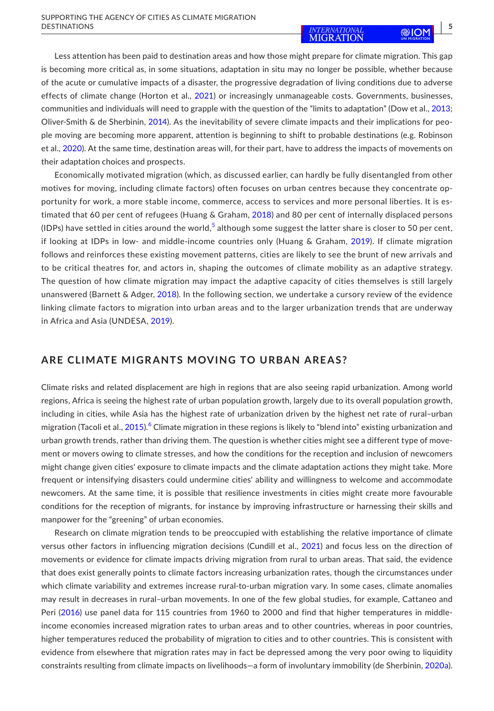Less attention has been paid to destination areas and how those might prepare for climate migration. This gap is becoming more critical as, in some situations, adaptation in situ may no longer be possible, whether because of the acute or cumulative impacts of a disaster, the progressive degradation of living conditions due to adverse effects of climate change (Horton et al., [2021\)](#page-14-9) or increasingly unmanageable costs. Governments, businesses, communities and individuals will need to grapple with the question of the "limits to adaptation" (Dow et al., [2013](#page-13-12); Oliver-Smith & de Sherbinin, [2014\)](#page-15-11). As the inevitability of severe climate impacts and their implications for people moving are becoming more apparent, attention is beginning to shift to probable destinations (e.g. Robinson et al., [2020](#page-16-10)). At the same time, destination areas will, for their part, have to address the impacts of movements on their adaptation choices and prospects.

Economically motivated migration (which, as discussed earlier, can hardly be fully disentangled from other motives for moving, including climate factors) often focuses on urban centres because they concentrate opportunity for work, a more stable income, commerce, access to services and more personal liberties. It is estimated that 60 per cent of refugees (Huang & Graham, [2018](#page-14-10)) and 80 per cent of internally displaced persons (IDPs) have settled in cities around the world, $^5$  $^5$  although some suggest the latter share is closer to 50 per cent, if looking at IDPs in low- and middle-income countries only (Huang & Graham, [2019](#page-14-11)). If climate migration follows and reinforces these existing movement patterns, cities are likely to see the brunt of new arrivals and to be critical theatres for, and actors in, shaping the outcomes of climate mobility as an adaptive strategy. The question of how climate migration may impact the adaptive capacity of cities themselves is still largely unanswered (Barnett & Adger, [2018](#page-12-8)). In the following section, we undertake a cursory review of the evidence linking climate factors to migration into urban areas and to the larger urbanization trends that are underway in Africa and Asia (UNDESA, [2019](#page-17-9)).

# **ARE CLIMATE MIGRANTS MOVING TO URBAN AREAS?**

Climate risks and related displacement are high in regions that are also seeing rapid urbanization. Among world regions, Africa is seeing the highest rate of urban population growth, largely due to its overall population growth, including in cities, while Asia has the highest rate of urbanization driven by the highest net rate of rural–urban migration (Tacoli et al., [2015](#page-17-10)).<sup>[6](#page-12-9)</sup> Climate migration in these regions is likely to "blend into" existing urbanization and urban growth trends, rather than driving them. The question is whether cities might see a different type of movement or movers owing to climate stresses, and how the conditions for the reception and inclusion of newcomers might change given cities' exposure to climate impacts and the climate adaptation actions they might take. More frequent or intensifying disasters could undermine cities' ability and willingness to welcome and accommodate newcomers. At the same time, it is possible that resilience investments in cities might create more favourable conditions for the reception of migrants, for instance by improving infrastructure or harnessing their skills and manpower for the "greening" of urban economies.

Research on climate migration tends to be preoccupied with establishing the relative importance of climate versus other factors in influencing migration decisions (Cundill et al., [2021\)](#page-13-13) and focus less on the direction of movements or evidence for climate impacts driving migration from rural to urban areas. That said, the evidence that does exist generally points to climate factors increasing urbanization rates, though the circumstances under which climate variability and extremes increase rural-to-urban migration vary. In some cases, climate anomalies may result in decreases in rural–urban movements. In one of the few global studies, for example, Cattaneo and Peri ([2016](#page-13-14)) use panel data for 115 countries from 1960 to 2000 and find that higher temperatures in middleincome economies increased migration rates to urban areas and to other countries, whereas in poor countries, higher temperatures reduced the probability of migration to cities and to other countries. This is consistent with evidence from elsewhere that migration rates may in fact be depressed among the very poor owing to liquidity constraints resulting from climate impacts on livelihoods—a form of involuntary immobility (de Sherbinin, [2020a](#page-13-2)).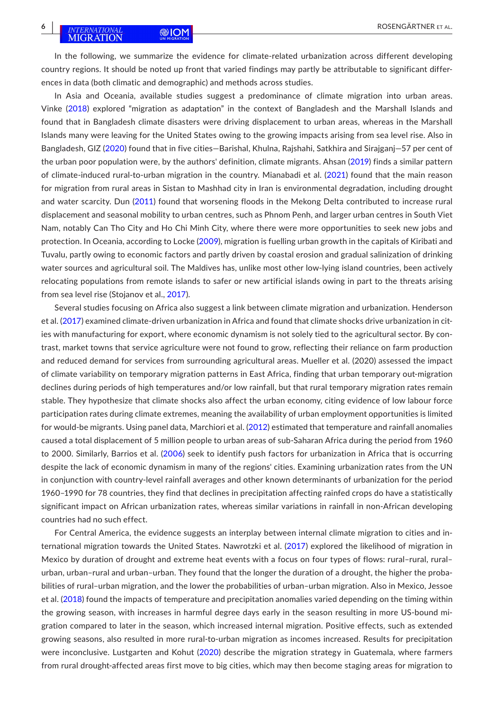In the following, we summarize the evidence for climate-related urbanization across different developing country regions. It should be noted up front that varied findings may partly be attributable to significant differences in data (both climatic and demographic) and methods across studies.

In Asia and Oceania, available studies suggest a predominance of climate migration into urban areas. Vinke ([2018](#page-17-11)) explored "migration as adaptation" in the context of Bangladesh and the Marshall Islands and found that in Bangladesh climate disasters were driving displacement to urban areas, whereas in the Marshall Islands many were leaving for the United States owing to the growing impacts arising from sea level rise. Also in Bangladesh, GIZ [\(2020](#page-14-12)) found that in five cities—Barishal, Khulna, Rajshahi, Satkhira and Sirajganj—57 per cent of the urban poor population were, by the authors' definition, climate migrants. Ahsan ([2019](#page-12-10)) finds a similar pattern of climate-induced rural-to-urban migration in the country. Mianabadi et al. ([2021](#page-15-12)) found that the main reason for migration from rural areas in Sistan to Mashhad city in Iran is environmental degradation, including drought and water scarcity. Dun [\(2011](#page-14-13)) found that worsening floods in the Mekong Delta contributed to increase rural displacement and seasonal mobility to urban centres, such as Phnom Penh, and larger urban centres in South Viet Nam, notably Can Tho City and Ho Chi Minh City, where there were more opportunities to seek new jobs and protection. In Oceania, according to Locke [\(2009](#page-15-13)), migration is fuelling urban growth in the capitals of Kiribati and Tuvalu, partly owing to economic factors and partly driven by coastal erosion and gradual salinization of drinking water sources and agricultural soil. The Maldives has, unlike most other low-lying island countries, been actively relocating populations from remote islands to safer or new artificial islands owing in part to the threats arising from sea level rise (Stojanov et al., [2017](#page-17-12)).

Several studies focusing on Africa also suggest a link between climate migration and urbanization. Henderson et al. ([2017\)](#page-14-14) examined climate-driven urbanization in Africa and found that climate shocks drive urbanization in cities with manufacturing for export, where economic dynamism is not solely tied to the agricultural sector. By contrast, market towns that service agriculture were not found to grow, reflecting their reliance on farm production and reduced demand for services from surrounding agricultural areas. Mueller et al. (2020) assessed the impact of climate variability on temporary migration patterns in East Africa, finding that urban temporary out-migration declines during periods of high temperatures and/or low rainfall, but that rural temporary migration rates remain stable. They hypothesize that climate shocks also affect the urban economy, citing evidence of low labour force participation rates during climate extremes, meaning the availability of urban employment opportunities is limited for would-be migrants. Using panel data, Marchiori et al. ([2012\)](#page-15-14) estimated that temperature and rainfall anomalies caused a total displacement of 5 million people to urban areas of sub-Saharan Africa during the period from 1960 to 2000. Similarly, Barrios et al. [\(2006](#page-12-11)) seek to identify push factors for urbanization in Africa that is occurring despite the lack of economic dynamism in many of the regions' cities. Examining urbanization rates from the UN in conjunction with country-level rainfall averages and other known determinants of urbanization for the period 1960–1990 for 78 countries, they find that declines in precipitation affecting rainfed crops do have a statistically significant impact on African urbanization rates, whereas similar variations in rainfall in non-African developing countries had no such effect.

For Central America, the evidence suggests an interplay between internal climate migration to cities and international migration towards the United States. Nawrotzki et al. [\(2017](#page-15-3)) explored the likelihood of migration in Mexico by duration of drought and extreme heat events with a focus on four types of flows: rural–rural, rural– urban, urban–rural and urban–urban. They found that the longer the duration of a drought, the higher the probabilities of rural–urban migration, and the lower the probabilities of urban–urban migration. Also in Mexico, Jessoe et al. ([2018](#page-15-15)) found the impacts of temperature and precipitation anomalies varied depending on the timing within the growing season, with increases in harmful degree days early in the season resulting in more US-bound migration compared to later in the season, which increased internal migration. Positive effects, such as extended growing seasons, also resulted in more rural-to-urban migration as incomes increased. Results for precipitation were inconclusive. Lustgarten and Kohut ([2020\)](#page-15-16) describe the migration strategy in Guatemala, where farmers from rural drought-affected areas first move to big cities, which may then become staging areas for migration to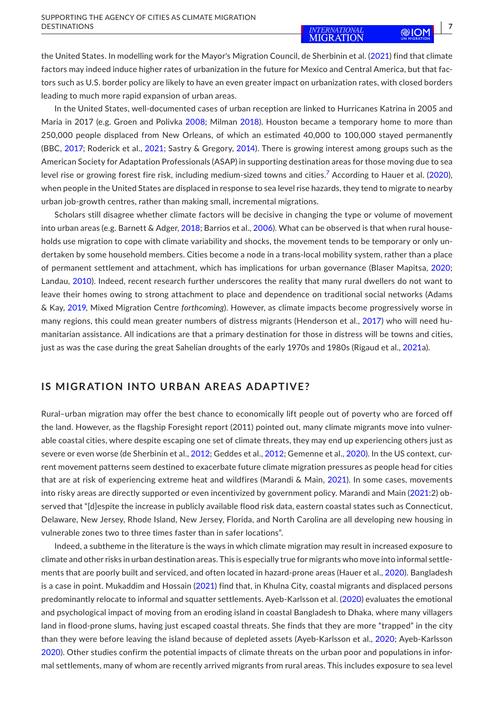the United States. In modelling work for the Mayor's Migration Council, de Sherbinin et al. ([2021](#page-13-15)) find that climate factors may indeed induce higher rates of urbanization in the future for Mexico and Central America, but that factors such as U.S. border policy are likely to have an even greater impact on urbanization rates, with closed borders leading to much more rapid expansion of urban areas.

In the United States, well-documented cases of urban reception are linked to Hurricanes Katrina in 2005 and Maria in 2017 (e.g. Groen and Polivka [2008](#page-14-15); Milman [2018](#page-15-17)). Houston became a temporary home to more than 250,000 people displaced from New Orleans, of which an estimated 40,000 to 100,000 stayed permanently (BBC, [2017](#page-12-12); Roderick et al., [2021](#page-16-11); Sastry & Gregory, [2014](#page-16-12)). There is growing interest among groups such as the American Society for Adaptation Professionals (ASAP) in supporting destination areas for those moving due to sea level rise or growing forest fire risk, including medium-sized towns and cities.<sup>7</sup> According to Hauer et al. [\(2020](#page-14-16)), when people in the United States are displaced in response to sea level rise hazards, they tend to migrate to nearby urban job-growth centres, rather than making small, incremental migrations.

Scholars still disagree whether climate factors will be decisive in changing the type or volume of movement into urban areas (e.g. Barnett & Adger, [2018](#page-12-8); Barrios et al., [2006](#page-12-11)). What can be observed is that when rural households use migration to cope with climate variability and shocks, the movement tends to be temporary or only undertaken by some household members. Cities become a node in a trans-local mobility system, rather than a place of permanent settlement and attachment, which has implications for urban governance (Blaser Mapitsa, [2020](#page-13-16); Landau, [2010\)](#page-15-18). Indeed, recent research further underscores the reality that many rural dwellers do not want to leave their homes owing to strong attachment to place and dependence on traditional social networks (Adams & Kay, [2019](#page-12-5), Mixed Migration Centre *forthcoming*). However, as climate impacts become progressively worse in many regions, this could mean greater numbers of distress migrants (Henderson et al., [2017](#page-14-14)) who will need humanitarian assistance. All indications are that a primary destination for those in distress will be towns and cities, just as was the case during the great Sahelian droughts of the early 1970s and 1980s (Rigaud et al., [2021](#page-16-13)a).

### **IS MIGRATION INTO URBAN AREAS ADAPTIVE?**

Rural–urban migration may offer the best chance to economically lift people out of poverty who are forced off the land. However, as the flagship Foresight report (2011) pointed out, many climate migrants move into vulnerable coastal cities, where despite escaping one set of climate threats, they may end up experiencing others just as severe or even worse (de Sherbinin et al., [2012](#page-13-17); Geddes et al., [2012;](#page-14-17) Gemenne et al., [2020](#page-14-18)). In the US context, current movement patterns seem destined to exacerbate future climate migration pressures as people head for cities that are at risk of experiencing extreme heat and wildfires (Marandi & Main, [2021](#page-15-19)). In some cases, movements into risky areas are directly supported or even incentivized by government policy. Marandi and Main ([2021](#page-15-19):2) observed that "[d]espite the increase in publicly available flood risk data, eastern coastal states such as Connecticut, Delaware, New Jersey, Rhode Island, New Jersey, Florida, and North Carolina are all developing new housing in vulnerable zones two to three times faster than in safer locations".

Indeed, a subtheme in the literature is the ways in which climate migration may result in increased exposure to climate and other risks in urban destination areas. This is especially true for migrants who move into informal settlements that are poorly built and serviced, and often located in hazard-prone areas (Hauer et al., [2020\)](#page-14-16). Bangladesh is a case in point. Mukaddim and Hossain ([2021](#page-15-20)) find that, in Khulna City, coastal migrants and displaced persons predominantly relocate to informal and squatter settlements. Ayeb-Karlsson et al. ([2020\)](#page-12-14) evaluates the emotional and psychological impact of moving from an eroding island in coastal Bangladesh to Dhaka, where many villagers land in flood-prone slums, having just escaped coastal threats. She finds that they are more "trapped" in the city than they were before leaving the island because of depleted assets (Ayeb-Karlsson et al., [2020](#page-12-14); Ayeb-Karlsson [2020](#page-12-15)). Other studies confirm the potential impacts of climate threats on the urban poor and populations in informal settlements, many of whom are recently arrived migrants from rural areas. This includes exposure to sea level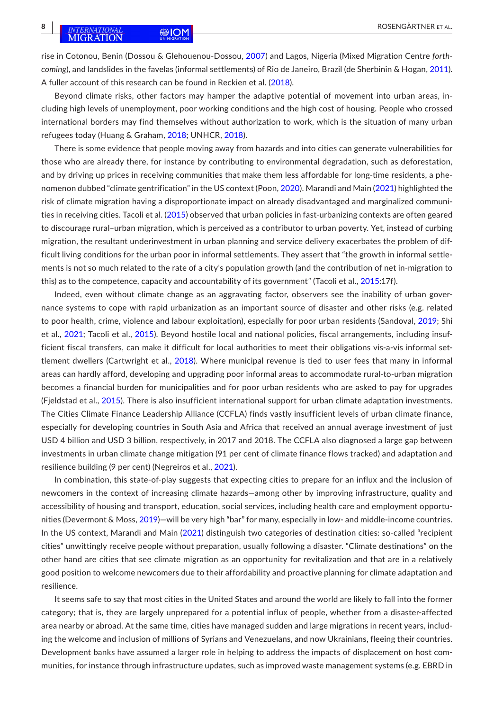rise in Cotonou, Benin (Dossou & Glehouenou-Dossou, [2007](#page-13-18)) and Lagos, Nigeria (Mixed Migration Centre *forthcoming*), and landslides in the favelas (informal settlements) of Rio de Janeiro, Brazil (de Sherbinin & Hogan, [2011](#page-13-19)). A fuller account of this research can be found in Reckien et al. ([2018](#page-16-14)).

Beyond climate risks, other factors may hamper the adaptive potential of movement into urban areas, including high levels of unemployment, poor working conditions and the high cost of housing. People who crossed international borders may find themselves without authorization to work, which is the situation of many urban refugees today (Huang & Graham, [2018](#page-14-10); UNHCR, [2018\)](#page-17-13).

There is some evidence that people moving away from hazards and into cities can generate vulnerabilities for those who are already there, for instance by contributing to environmental degradation, such as deforestation, and by driving up prices in receiving communities that make them less affordable for long-time residents, a phenomenon dubbed "climate gentrification" in the US context (Poon, [2020](#page-16-15)). Marandi and Main ([2021\)](#page-15-19) highlighted the risk of climate migration having a disproportionate impact on already disadvantaged and marginalized communities in receiving cities. Tacoli et al. ([2015](#page-17-10)) observed that urban policies in fast-urbanizing contexts are often geared to discourage rural–urban migration, which is perceived as a contributor to urban poverty. Yet, instead of curbing migration, the resultant underinvestment in urban planning and service delivery exacerbates the problem of difficult living conditions for the urban poor in informal settlements. They assert that "the growth in informal settlements is not so much related to the rate of a city's population growth (and the contribution of net in-migration to this) as to the competence, capacity and accountability of its government" (Tacoli et al., [2015](#page-17-10):17f).

Indeed, even without climate change as an aggravating factor, observers see the inability of urban governance systems to cope with rapid urbanization as an important source of disaster and other risks (e.g. related to poor health, crime, violence and labour exploitation), especially for poor urban residents (Sandoval, [2019;](#page-16-16) Shi et al., [2021;](#page-16-17) Tacoli et al., [2015](#page-17-10)). Beyond hostile local and national policies, fiscal arrangements, including insufficient fiscal transfers, can make it difficult for local authorities to meet their obligations vis-a-vis informal settlement dwellers (Cartwright et al., [2018](#page-13-20)). Where municipal revenue is tied to user fees that many in informal areas can hardly afford, developing and upgrading poor informal areas to accommodate rural-to-urban migration becomes a financial burden for municipalities and for poor urban residents who are asked to pay for upgrades (Fjeldstad et al., [2015](#page-14-19)). There is also insufficient international support for urban climate adaptation investments. The Cities Climate Finance Leadership Alliance (CCFLA) finds vastly insufficient levels of urban climate finance, especially for developing countries in South Asia and Africa that received an annual average investment of just USD 4 billion and USD 3 billion, respectively, in 2017 and 2018. The CCFLA also diagnosed a large gap between investments in urban climate change mitigation (91 per cent of climate finance flows tracked) and adaptation and resilience building (9 per cent) (Negreiros et al., [2021\)](#page-15-21).

In combination, this state-of-play suggests that expecting cities to prepare for an influx and the inclusion of newcomers in the context of increasing climate hazards—among other by improving infrastructure, quality and accessibility of housing and transport, education, social services, including health care and employment opportunities (Devermont & Moss, [2019](#page-13-21))—will be very high "bar" for many, especially in low- and middle-income countries. In the US context, Marandi and Main ([2021\)](#page-15-19) distinguish two categories of destination cities: so-called "recipient cities" unwittingly receive people without preparation, usually following a disaster. "Climate destinations" on the other hand are cities that see climate migration as an opportunity for revitalization and that are in a relatively good position to welcome newcomers due to their affordability and proactive planning for climate adaptation and resilience.

It seems safe to say that most cities in the United States and around the world are likely to fall into the former category; that is, they are largely unprepared for a potential influx of people, whether from a disaster-affected area nearby or abroad. At the same time, cities have managed sudden and large migrations in recent years, including the welcome and inclusion of millions of Syrians and Venezuelans, and now Ukrainians, fleeing their countries. Development banks have assumed a larger role in helping to address the impacts of displacement on host communities, for instance through infrastructure updates, such as improved waste management systems (e.g. EBRD in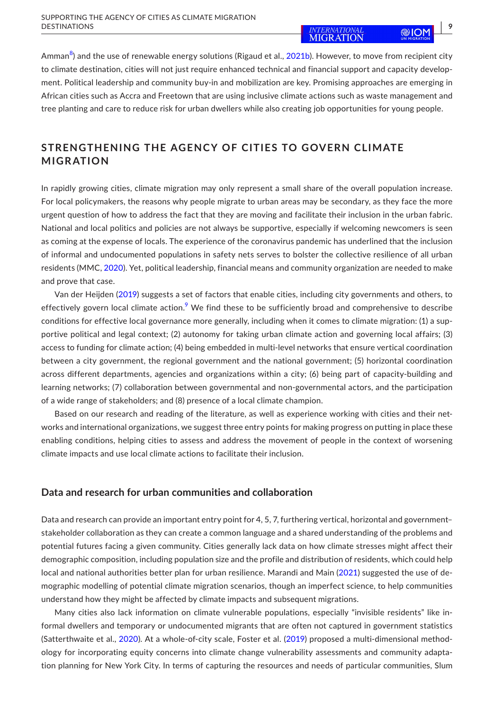Amman $^8$  $^8$ ) and the use of renewable energy solutions (Rigaud et al., [2021b\)](#page-16-18). However, to move from recipient city to climate destination, cities will not just require enhanced technical and financial support and capacity development. Political leadership and community buy-in and mobilization are key. Promising approaches are emerging in African cities such as Accra and Freetown that are using inclusive climate actions such as waste management and tree planting and care to reduce risk for urban dwellers while also creating job opportunities for young people.

# **STRENGTHENING THE AGENCY OF CITIES TO GOVERN CLIMATE MIGRATION**

In rapidly growing cities, climate migration may only represent a small share of the overall population increase. For local policymakers, the reasons why people migrate to urban areas may be secondary, as they face the more urgent question of how to address the fact that they are moving and facilitate their inclusion in the urban fabric. National and local politics and policies are not always be supportive, especially if welcoming newcomers is seen as coming at the expense of locals. The experience of the coronavirus pandemic has underlined that the inclusion of informal and undocumented populations in safety nets serves to bolster the collective resilience of all urban residents (MMC, [2020](#page-15-22)). Yet, political leadership, financial means and community organization are needed to make and prove that case.

Van der Heijden ([2019](#page-17-14)) suggests a set of factors that enable cities, including city governments and others, to effectively govern local climate action.<sup>[9](#page-12-17)</sup> We find these to be sufficiently broad and comprehensive to describe conditions for effective local governance more generally, including when it comes to climate migration: (1) a supportive political and legal context; (2) autonomy for taking urban climate action and governing local affairs; (3) access to funding for climate action; (4) being embedded in multi-level networks that ensure vertical coordination between a city government, the regional government and the national government; (5) horizontal coordination across different departments, agencies and organizations within a city; (6) being part of capacity-building and learning networks; (7) collaboration between governmental and non-governmental actors, and the participation of a wide range of stakeholders; and (8) presence of a local climate champion.

Based on our research and reading of the literature, as well as experience working with cities and their networks and international organizations, we suggest three entry points for making progress on putting in place these enabling conditions, helping cities to assess and address the movement of people in the context of worsening climate impacts and use local climate actions to facilitate their inclusion.

### **Data and research for urban communities and collaboration**

Data and research can provide an important entry point for 4, 5, 7, furthering vertical, horizontal and government– stakeholder collaboration as they can create a common language and a shared understanding of the problems and potential futures facing a given community. Cities generally lack data on how climate stresses might affect their demographic composition, including population size and the profile and distribution of residents, which could help local and national authorities better plan for urban resilience. Marandi and Main ([2021](#page-15-19)) suggested the use of demographic modelling of potential climate migration scenarios, though an imperfect science, to help communities understand how they might be affected by climate impacts and subsequent migrations.

Many cities also lack information on climate vulnerable populations, especially "invisible residents" like informal dwellers and temporary or undocumented migrants that are often not captured in government statistics (Satterthwaite et al., [2020\)](#page-16-2). At a whole-of-city scale, Foster et al. ([2019](#page-14-20)) proposed a multi-dimensional methodology for incorporating equity concerns into climate change vulnerability assessments and community adaptation planning for New York City. In terms of capturing the resources and needs of particular communities, Slum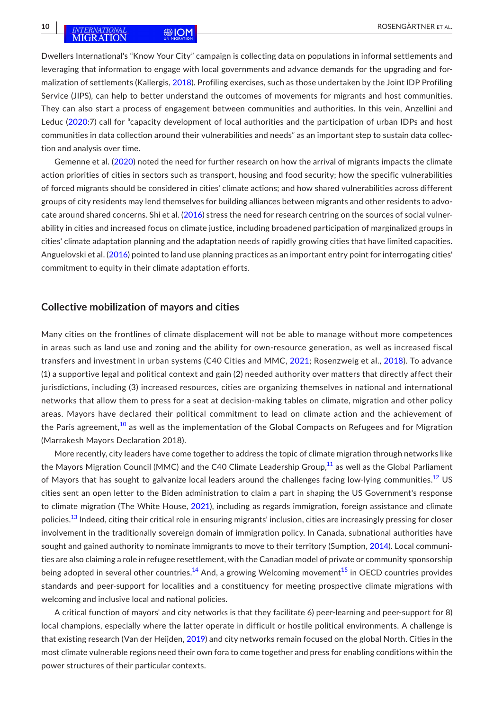Dwellers International's "Know Your City" campaign is collecting data on populations in informal settlements and leveraging that information to engage with local governments and advance demands for the upgrading and formalization of settlements (Kallergis, [2018](#page-15-23)). Profiling exercises, such as those undertaken by the Joint IDP Profiling Service (JIPS), can help to better understand the outcomes of movements for migrants and host communities. They can also start a process of engagement between communities and authorities. In this vein, Anzellini and Leduc ([2020](#page-12-18):7) call for "capacity development of local authorities and the participation of urban IDPs and host communities in data collection around their vulnerabilities and needs" as an important step to sustain data collection and analysis over time.

Gemenne et al. ([2020\)](#page-14-18) noted the need for further research on how the arrival of migrants impacts the climate action priorities of cities in sectors such as transport, housing and food security; how the specific vulnerabilities of forced migrants should be considered in cities' climate actions; and how shared vulnerabilities across different groups of city residents may lend themselves for building alliances between migrants and other residents to advocate around shared concerns. Shi et al. [\(2016](#page-16-19)) stress the need for research centring on the sources of social vulnerability in cities and increased focus on climate justice, including broadened participation of marginalized groups in cities' climate adaptation planning and the adaptation needs of rapidly growing cities that have limited capacities. Anguelovski et al. ([2016](#page-12-19)) pointed to land use planning practices as an important entry point for interrogating cities' commitment to equity in their climate adaptation efforts.

#### **Collective mobilization of mayors and cities**

Many cities on the frontlines of climate displacement will not be able to manage without more competences in areas such as land use and zoning and the ability for own-resource generation, as well as increased fiscal transfers and investment in urban systems (C40 Cities and MMC, [2021](#page-13-22); Rosenzweig et al., [2018\)](#page-16-3). To advance (1) a supportive legal and political context and gain (2) needed authority over matters that directly affect their jurisdictions, including (3) increased resources, cities are organizing themselves in national and international networks that allow them to press for a seat at decision-making tables on climate, migration and other policy areas. Mayors have declared their political commitment to lead on climate action and the achievement of the Paris agreement, $10$  as well as the implementation of the Global Compacts on Refugees and for Migration (Marrakesh Mayors Declaration 2018).

More recently, city leaders have come together to address the topic of climate migration through networks like the Mayors Migration Council (MMC) and the C40 Climate Leadership Group,<sup>11</sup> as well as the Global Parliament of Mayors that has sought to galvanize local leaders around the challenges facing low-lying communities.<sup>[12](#page-12-22)</sup> US cities sent an open letter to the Biden administration to claim a part in shaping the US Government's response to climate migration (The White House, [2021](#page-17-15)), including as regards immigration, foreign assistance and climate policies.<sup>13</sup> Indeed, citing their critical role in ensuring migrants' inclusion, cities are increasingly pressing for closer involvement in the traditionally sovereign domain of immigration policy. In Canada, subnational authorities have sought and gained authority to nominate immigrants to move to their territory (Sumption, [2014](#page-17-16)). Local communities are also claiming a role in refugee resettlement, with the Canadian model of private or community sponsorship being adopted in several other countries.<sup>14</sup> And, a growing Welcoming movement<sup>[15](#page-12-25)</sup> in OECD countries provides standards and peer-support for localities and a constituency for meeting prospective climate migrations with welcoming and inclusive local and national policies.

A critical function of mayors' and city networks is that they facilitate 6) peer-learning and peer-support for 8) local champions, especially where the latter operate in difficult or hostile political environments. A challenge is that existing research (Van der Heijden, [2019](#page-17-14)) and city networks remain focused on the global North. Cities in the most climate vulnerable regions need their own fora to come together and press for enabling conditions within the power structures of their particular contexts.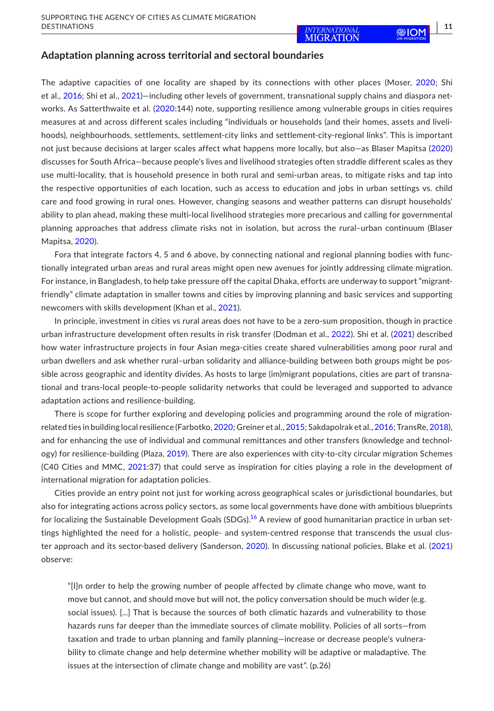### **Adaptation planning across territorial and sectoral boundaries**

The adaptive capacities of one locality are shaped by its connections with other places (Moser, [2020](#page-15-24); Shi et al., [2016](#page-16-19); Shi et al., [2021\)](#page-16-17)—including other levels of government, transnational supply chains and diaspora networks. As Satterthwaite et al. ([2020](#page-16-2):144) note, supporting resilience among vulnerable groups in cities requires measures at and across different scales including "individuals or households (and their homes, assets and livelihoods), neighbourhoods, settlements, settlement-city links and settlement-city-regional links". This is important not just because decisions at larger scales affect what happens more locally, but also—as Blaser Mapitsa ([2020](#page-13-16)) discusses for South Africa—because people's lives and livelihood strategies often straddle different scales as they use multi-locality, that is household presence in both rural and semi-urban areas, to mitigate risks and tap into the respective opportunities of each location, such as access to education and jobs in urban settings vs. child care and food growing in rural ones. However, changing seasons and weather patterns can disrupt households' ability to plan ahead, making these multi-local livelihood strategies more precarious and calling for governmental planning approaches that address climate risks not in isolation, but across the rural–urban continuum (Blaser Mapitsa, [2020\)](#page-13-16).

Fora that integrate factors 4, 5 and 6 above, by connecting national and regional planning bodies with functionally integrated urban areas and rural areas might open new avenues for jointly addressing climate migration. For instance, in Bangladesh, to help take pressure off the capital Dhaka, efforts are underway to support "migrantfriendly" climate adaptation in smaller towns and cities by improving planning and basic services and supporting newcomers with skills development (Khan et al., [2021\)](#page-15-25).

In principle, investment in cities vs rural areas does not have to be a zero-sum proposition, though in practice urban infrastructure development often results in risk transfer (Dodman et al., [2022](#page-13-1)). Shi et al. ([2021\)](#page-16-17) described how water infrastructure projects in four Asian mega-cities create shared vulnerabilities among poor rural and urban dwellers and ask whether rural–urban solidarity and alliance-building between both groups might be possible across geographic and identity divides. As hosts to large (im)migrant populations, cities are part of transnational and trans-local people-to-people solidarity networks that could be leveraged and supported to advance adaptation actions and resilience-building.

There is scope for further exploring and developing policies and programming around the role of migrationrelated ties in building local resilience (Farbotko, [2020;](#page-14-21) Greiner et al., [2015](#page-14-22); Sakdapolrak et al., [2016](#page-16-20); TransRe, [2018](#page-17-17)), and for enhancing the use of individual and communal remittances and other transfers (knowledge and technology) for resilience-building (Plaza, [2019\)](#page-16-21). There are also experiences with city-to-city circular migration Schemes (C40 Cities and MMC, [2021](#page-13-22):37) that could serve as inspiration for cities playing a role in the development of international migration for adaptation policies.

Cities provide an entry point not just for working across geographical scales or jurisdictional boundaries, but also for integrating actions across policy sectors, as some local governments have done with ambitious blueprints for localizing the Sustainable Development Goals (SDGs).<sup>[16](#page-12-26)</sup> A review of good humanitarian practice in urban settings highlighted the need for a holistic, people- and system-centred response that transcends the usual cluster approach and its sector-based delivery (Sanderson, [2020](#page-16-22)). In discussing national policies, Blake et al. ([2021](#page-12-27)) observe:

"[I]n order to help the growing number of people affected by climate change who move, want to move but cannot, and should move but will not, the policy conversation should be much wider (e.g. social issues). [...] That is because the sources of both climatic hazards and vulnerability to those hazards runs far deeper than the immediate sources of climate mobility. Policies of all sorts—from taxation and trade to urban planning and family planning—increase or decrease people's vulnerability to climate change and help determine whether mobility will be adaptive or maladaptive. The issues at the intersection of climate change and mobility are vast". (p.26)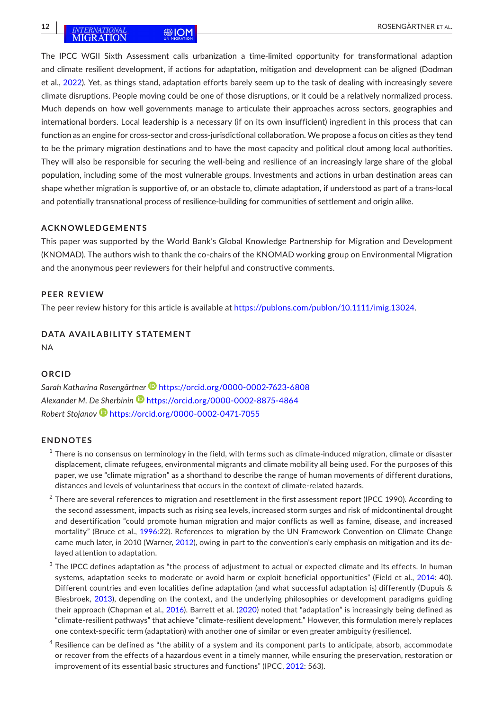The IPCC WGII Sixth Assessment calls urbanization a time-limited opportunity for transformational adaption and climate resilient development, if actions for adaptation, mitigation and development can be aligned (Dodman et al., [2022](#page-13-1)). Yet, as things stand, adaptation efforts barely seem up to the task of dealing with increasingly severe climate disruptions. People moving could be one of those disruptions, or it could be a relatively normalized process. Much depends on how well governments manage to articulate their approaches across sectors, geographies and international borders. Local leadership is a necessary (if on its own insufficient) ingredient in this process that can function as an engine for cross-sector and cross-jurisdictional collaboration. We propose a focus on cities as they tend to be the primary migration destinations and to have the most capacity and political clout among local authorities. They will also be responsible for securing the well-being and resilience of an increasingly large share of the global population, including some of the most vulnerable groups. Investments and actions in urban destination areas can shape whether migration is supportive of, or an obstacle to, climate adaptation, if understood as part of a trans-local and potentially transnational process of resilience-building for communities of settlement and origin alike.

### **ACKNOWLEDGEMENTS**

This paper was supported by the World Bank's Global Knowledge Partnership for Migration and Development (KNOMAD). The authors wish to thank the co-chairs of the KNOMAD working group on Environmental Migration and the anonymous peer reviewers for their helpful and constructive comments.

#### **PEER REVIEW**

The peer review history for this article is available at [https://publons.com/publon/10.1111/imig.13024.](https://publons.com/publon/10.1111/imig.13024)

# **DATA AVAILABILITY STATEMENT**

NA

### **ORCID**

*Sarah Katharina Rosengärtne[r](https://orcid.org/0000-0002-7623-6808)* <https://orcid.org/0000-0002-7623-6808> *Alexander M. De Sherbini[n](https://orcid.org/0000-0002-8875-4864)* <https://orcid.org/0000-0002-8875-4864> *Robert Stojanov* <https://orcid.org/0000-0002-0471-7055>

#### **ENDNOTES**

- <span id="page-11-0"></span> $1$  There is no consensus on terminology in the field, with terms such as climate-induced migration, climate or disaster displacement, climate refugees, environmental migrants and climate mobility all being used. For the purposes of this paper, we use "climate migration" as a shorthand to describe the range of human movements of different durations, distances and levels of voluntariness that occurs in the context of climate-related hazards.
- <span id="page-11-1"></span> $2$  There are several references to migration and resettlement in the first assessment report (IPCC 1990). According to the second assessment, impacts such as rising sea levels, increased storm surges and risk of midcontinental drought and desertification "could promote human migration and major conflicts as well as famine, disease, and increased mortality" (Bruce et al., [1996](#page-13-0):22). References to migration by the UN Framework Convention on Climate Change came much later, in 2010 (Warner, [2012\)](#page-17-4), owing in part to the convention's early emphasis on mitigation and its delayed attention to adaptation.
- <span id="page-11-2"></span> $3$  The IPCC defines adaptation as "the process of adjustment to actual or expected climate and its effects. In human systems, adaptation seeks to moderate or avoid harm or exploit beneficial opportunities" (Field et al., [2014:](#page-14-23) 40). Different countries and even localities define adaptation (and what successful adaptation is) differently (Dupuis & Biesbroek, [2013](#page-14-24)), depending on the context, and the underlying philosophies or development paradigms guiding their approach (Chapman et al., [2016](#page-13-23)). Barrett et al. [\(2020](#page-12-28)) noted that "adaptation" is increasingly being defined as "climate-resilient pathways" that achieve "climate-resilient development." However, this formulation merely replaces one context-specific term (adaptation) with another one of similar or even greater ambiguity (resilience).
- <span id="page-11-3"></span> $^4$  Resilience can be defined as "the ability of a system and its component parts to anticipate, absorb, accommodate or recover from the effects of a hazardous event in a timely manner, while ensuring the preservation, restoration or improvement of its essential basic structures and functions" (IPCC, [2012](#page-15-1): 563).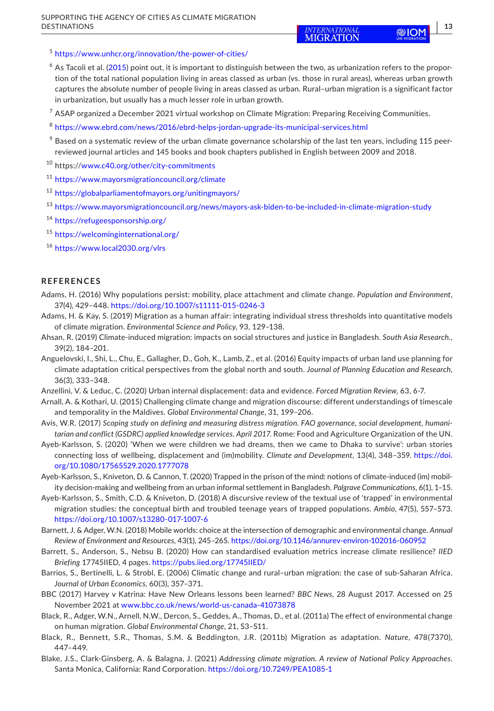**810M**  $\frac{13}{2}$ 

<span id="page-12-7"></span><sup>5</sup> <https://www.unhcr.org/innovation/the-power-of-cities/>

- <span id="page-12-9"></span> $6$  As Tacoli et al. [\(2015](#page-17-10)) point out, it is important to distinguish between the two, as urbanization refers to the proportion of the total national population living in areas classed as urban (vs. those in rural areas), whereas urban growth captures the absolute number of people living in areas classed as urban. Rural–urban migration is a significant factor in urbanization, but usually has a much lesser role in urban growth.
- <span id="page-12-13"></span> $7$  ASAP organized a December 2021 virtual workshop on Climate Migration: Preparing Receiving Communities.
- <span id="page-12-16"></span><sup>8</sup> <https://www.ebrd.com/news/2016/ebrd-helps-jordan-upgrade-its-municipal-services.html>
- <span id="page-12-17"></span> $9$  Based on a systematic review of the urban climate governance scholarship of the last ten years, including 115 peerreviewed journal articles and 145 books and book chapters published in English between 2009 and 2018.
- <span id="page-12-20"></span><sup>10</sup> https://[www.c40.org/other/city-commitments](http://www.c40.org/other/city-commitments)
- <span id="page-12-21"></span><sup>11</sup> <https://www.mayorsmigrationcouncil.org/climate>
- <span id="page-12-22"></span><sup>12</sup> <https://globalparliamentofmayors.org/unitingmayors/>
- <span id="page-12-23"></span><sup>13</sup> <https://www.mayorsmigrationcouncil.org/news/mayors-ask-biden-to-be-included-in-climate-migration-study>
- <span id="page-12-24"></span><sup>14</sup> <https://refugeesponsorship.org/>
- <span id="page-12-25"></span><sup>15</sup> <https://welcominginternational.org/>

<span id="page-12-26"></span><sup>16</sup> <https://www.local2030.org/vlrs>

#### **REFERENCES**

- <span id="page-12-4"></span>Adams, H. (2016) Why populations persist: mobility, place attachment and climate change. *Population and Environment*, 37(4), 429–448. <https://doi.org/10.1007/s11111-015-0246-3>
- <span id="page-12-5"></span>Adams, H. & Kay, S. (2019) Migration as a human affair: integrating individual stress thresholds into quantitative models of climate migration. *Environmental Science and Policy*, 93, 129–138.
- <span id="page-12-10"></span>Ahsan, R. (2019) Climate-induced migration: impacts on social structures and justice in Bangladesh. *South Asia Research.*, 39(2), 184–201.
- <span id="page-12-19"></span>Anguelovski, I., Shi, L., Chu, E., Gallagher, D., Goh, K., Lamb, Z., et al. (2016) Equity impacts of urban land use planning for climate adaptation critical perspectives from the global north and south. *Journal of Planning Education and Research*, 36(3), 333–348.
- <span id="page-12-18"></span>Anzellini, V. & Leduc, C. (2020) Urban internal displacement: data and evidence. *Forced Migration Review*, 63, 6-7.
- <span id="page-12-2"></span>Arnall, A. & Kothari, U. (2015) Challenging climate change and migration discourse: different understandings of timescale and temporality in the Maldives. *Global Environmental Change*, 31, 199–206.
- <span id="page-12-0"></span>Avis, W.R. (2017) *Scoping study on defining and measuring distress migration. FAO governance, social development, humanitarian and conflict (GSDRC) applied knowledge services. April 2017*. Rome: Food and Agriculture Organization of the UN.
- <span id="page-12-15"></span>Ayeb-Karlsson, S. (2020) 'When we were children we had dreams, then we came to Dhaka to survive': urban stories connecting loss of wellbeing, displacement and (im)mobility. *Climate and Development*, 13(4), 348–359. [https://doi.](https://doi.org/10.1080/17565529.2020.1777078) [org/10.1080/17565529.2020.1777078](https://doi.org/10.1080/17565529.2020.1777078)
- <span id="page-12-14"></span>Ayeb-Karlsson, S., Kniveton, D. & Cannon, T. (2020) Trapped in the prison of the mind: notions of climate-induced (im) mobility decision-making and wellbeing from an urban informal settlement in Bangladesh. *Palgrave Communications*, 6(1), 1–15.
- <span id="page-12-3"></span>Ayeb-Karlsson, S., Smith, C.D. & Kniveton, D. (2018) A discursive review of the textual use of 'trapped' in environmental migration studies: the conceptual birth and troubled teenage years of trapped populations. *Ambio*, 47(5), 557–573. <https://doi.org/10.1007/s13280-017-1007-6>
- <span id="page-12-8"></span>Barnett, J. & Adger, W.N. (2018) Mobile worlds: choice at the intersection of demographic and environmental change. *Annual Review of Environment and Resources*, 43(1), 245–265.<https://doi.org/10.1146/annurev-environ-102016-060952>
- <span id="page-12-28"></span>Barrett, S., Anderson, S., Nebsu B. (2020) How can standardised evaluation metrics increase climate resilience? *IIED Briefing* 17745IIED, 4 pages. <https://pubs.iied.org/17745IIED/>
- <span id="page-12-11"></span>Barrios, S., Bertinelli, L. & Strobl, E. (2006) Climatic change and rural–urban migration: the case of sub-Saharan Africa. *Journal of Urban Economics*, 60(3), 357–371.
- <span id="page-12-12"></span>BBC (2017) Harvey v Katrina: Have New Orleans lessons been learned? *BBC News*, 28 August 2017. Accessed on 25 November 2021 at [www.bbc.co.uk/news/world-us-canada-41073878](http://www.bbc.co.uk/news/world-us-canada-41073878)
- <span id="page-12-1"></span>Black, R., Adger, W.N., Arnell, N.W., Dercon, S., Geddes, A., Thomas, D., et al. (2011a) The effect of environmental change on human migration. *Global Environmental Change*, 21, S3–S11.
- <span id="page-12-6"></span>Black, R., Bennett, S.R., Thomas, S.M. & Beddington, J.R. (2011b) Migration as adaptation. *Nature*, 478(7370), 447–449.
- <span id="page-12-27"></span>Blake, J.S., Clark-Ginsberg, A. & Balagna, J. (2021) *Addressing climate migration. A review of National Policy Approaches*. Santa Monica, California: Rand Corporation.<https://doi.org/10.7249/PEA1085-1>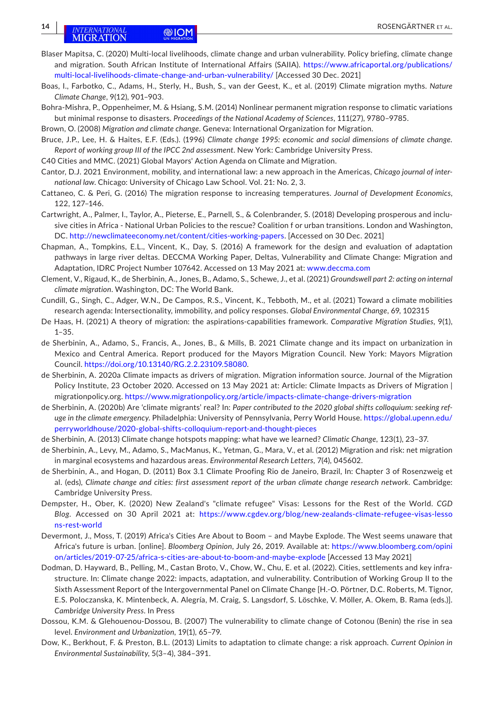- <span id="page-13-16"></span>Blaser Mapitsa, C. (2020) Multi-local livelihoods, climate change and urban vulnerability. Policy briefing, climate change and migration. South African Institute of International Affairs (SAIIA). [https://www.africaportal.org/publications/](https://www.africaportal.org/publications/multi-local-livelihoods-climate-change-and-urban-vulnerability/) [multi-local-livelihoods-climate-change-and-urban-vulnerability/](https://www.africaportal.org/publications/multi-local-livelihoods-climate-change-and-urban-vulnerability/) [Accessed 30 Dec. 2021]
- <span id="page-13-4"></span>Boas, I., Farbotko, C., Adams, H., Sterly, H., Bush, S., van der Geest, K., et al. (2019) Climate migration myths. *Nature Climate Change*, 9(12), 901–903.

<span id="page-13-5"></span>Bohra-Mishra, P., Oppenheimer, M. & Hsiang, S.M. (2014) Nonlinear permanent migration response to climatic variations but minimal response to disasters. *Proceedings of the National Academy of Sciences*, 111(27), 9780–9785.

<span id="page-13-10"></span>Brown, O. (2008) *Migration and climate change*. Geneva: International Organization for Migration.

- <span id="page-13-0"></span>Bruce, J.P., Lee, H. & Haites, E.F. (Eds.). (1996) *Climate change 1995: economic and social dimensions of climate change. Report of working group III of the IPCC 2nd assessment*. New York: Cambridge University Press.
- <span id="page-13-22"></span>C40 Cities and MMC. (2021) Global Mayors' Action Agenda on Climate and Migration.
- <span id="page-13-8"></span>Cantor, D.J. 2021 Environment, mobility, and international law: a new approach in the Americas, *Chicago journal of international law*. Chicago: University of Chicago Law School. Vol. 21: No. 2, 3.
- <span id="page-13-14"></span>Cattaneo, C. & Peri, G. (2016) The migration response to increasing temperatures. *Journal of Development Economics*, 122, 127–146.
- <span id="page-13-20"></span>Cartwright, A., Palmer, I., Taylor, A., Pieterse, E., Parnell, S., & Colenbrander, S. (2018) Developing prosperous and inclusive cities in Africa - National Urban Policies to the rescue? Coalition f or urban transitions. London and Washington, DC. <http://newclimateeconomy.net/content/cities-working-papers>. [Accessed on 30 Dec. 2021]
- <span id="page-13-23"></span>Chapman, A., Tompkins, E.L., Vincent, K., Day, S. (2016) A framework for the design and evaluation of adaptation pathways in large river deltas. DECCMA Working Paper, Deltas, Vulnerability and Climate Change: Migration and Adaptation, IDRC Project Number 107642. Accessed on 13 May 2021 at: [www.deccma.com](http://www.deccma.com/)
- <span id="page-13-6"></span>Clement, V., Rigaud, K., de Sherbinin, A., Jones, B., Adamo, S., Schewe, J., et al. (2021) *Groundswell part 2: acting on internal climate migration*. Washington, DC: The World Bank.
- <span id="page-13-13"></span>Cundill, G., Singh, C., Adger, W.N., De Campos, R.S., Vincent, K., Tebboth, M., et al. (2021) Toward a climate mobilities research agenda: Intersectionality, immobility, and policy responses. *Global Environmental Change*, 69, 102315
- <span id="page-13-7"></span>De Haas, H. (2021) A theory of migration: the aspirations-capabilities framework. *Comparative Migration Studies*, 9(1), 1–35.
- <span id="page-13-15"></span>de Sherbinin, A., Adamo, S., Francis, A., Jones, B., & Mills, B. 2021 Climate change and its impact on urbanization in Mexico and Central America. Report produced for the Mayors Migration Council. New York: Mayors Migration Council. <https://doi.org/10.13140/RG.2.2.23109.58080>.
- <span id="page-13-2"></span>de Sherbinin, A. 2020a Climate impacts as drivers of migration. Migration information source. Journal of the Migration Policy Institute, 23 October 2020. Accessed on 13 May 2021 at: Article: Climate Impacts as Drivers of Migration | migrationpolicy.org. <https://www.migrationpolicy.org/article/impacts-climate-change-drivers-migration>
- <span id="page-13-3"></span>de Sherbinin, A. (2020b) Are 'climate migrants' real? In: *Paper contributed to the 2020 global shifts colloquium: seeking refuge in the climate emergency*. Philadelphia: University of Pennsylvania, Perry World House. [https://global.upenn.edu/](https://global.upenn.edu/perryworldhouse/2020-global-shifts-colloquium-report-and-thought-pieces) [perryworldhouse/2020-global-shifts-colloquium-report-and-thought-pieces](https://global.upenn.edu/perryworldhouse/2020-global-shifts-colloquium-report-and-thought-pieces)
- <span id="page-13-11"></span>de Sherbinin, A. (2013) Climate change hotspots mapping: what have we learned? *Climatic Change*, 123(1), 23–37.
- <span id="page-13-17"></span>de Sherbinin, A., Levy, M., Adamo, S., MacManus, K., Yetman, G., Mara, V., et al. (2012) Migration and risk: net migration in marginal ecosystems and hazardous areas. *Environmental Research Letters*, 7(4), 045602.
- <span id="page-13-19"></span>de Sherbinin, A., and Hogan, D. (2011) Box 3.1 Climate Proofing Rio de Janeiro, Brazil, In: Chapter 3 of Rosenzweig et al. (eds), *Climate change and cities: first assessment report of the urban climate change research network*. Cambridge: Cambridge University Press.
- <span id="page-13-9"></span>Dempster, H., Ober, K. (2020) New Zealand's "climate refugee" Visas: Lessons for the Rest of the World. *CGD Blog*. Accessed on 30 April 2021 at: [https://www.cgdev.org/blog/new-zealands-climate-refugee-visas-lesso](https://www.cgdev.org/blog/new-zealands-climate-refugee-visas-lessons-rest-world) [ns-rest-world](https://www.cgdev.org/blog/new-zealands-climate-refugee-visas-lessons-rest-world)
- <span id="page-13-21"></span>Devermont, J., Moss, T. (2019) Africa's Cities Are About to Boom – and Maybe Explode. The West seems unaware that Africa's future is urban. [online]. *Bloomberg Opinion*, July 26, 2019. Available at: [https://www.bloomberg.com/opini](https://www.bloomberg.com/opinion/articles/2019-07-25/africa-s-cities-are-about-to-boom-and-maybe-explode) [on/articles/2019-07-25/africa-s-cities-are-about-to-boom-and-maybe-explode](https://www.bloomberg.com/opinion/articles/2019-07-25/africa-s-cities-are-about-to-boom-and-maybe-explode) [Accessed 13 May 2021]
- <span id="page-13-1"></span>Dodman, D. Hayward, B., Pelling, M., Castan Broto, V., Chow, W., Chu, E. et al. (2022). Cities, settlements and key infrastructure. In: Climate change 2022: impacts, adaptation, and vulnerability. Contribution of Working Group II to the Sixth Assessment Report of the Intergovernmental Panel on Climate Change [H.-O. Pörtner, D.C. Roberts, M. Tignor, E.S. Poloczanska, K. Mintenbeck, A. Alegría, M. Craig, S. Langsdorf, S. Löschke, V. Möller, A. Okem, B. Rama (eds.)]. *Cambridge University Press*. In Press
- <span id="page-13-18"></span>Dossou, K.M. & Glehouenou-Dossou, B. (2007) The vulnerability to climate change of Cotonou (Benin) the rise in sea level. *Environment and Urbanization*, 19(1), 65–79.
- <span id="page-13-12"></span>Dow, K., Berkhout, F. & Preston, B.L. (2013) Limits to adaptation to climate change: a risk approach. *Current Opinion in Environmental Sustainability*, 5(3–4), 384–391.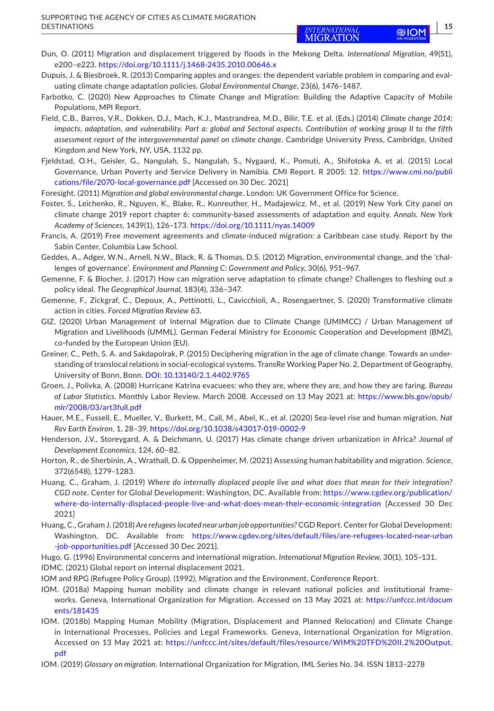- <span id="page-14-13"></span>Dun, O. (2011) Migration and displacement triggered by floods in the Mekong Delta. *International Migration*, 49(S1), e200–e223. <https://doi.org/10.1111/j.1468-2435.2010.00646.x>
- <span id="page-14-24"></span>Dupuis, J. & Biesbroek, R. (2013) Comparing apples and oranges: the dependent variable problem in comparing and evaluating climate change adaptation policies. *Global Environmental Change*, 23(6), 1476–1487.
- <span id="page-14-21"></span>Farbotko, C. (2020) New Approaches to Climate Change and Migration: Building the Adaptive Capacity of Mobile Populations, MPI Report.
- <span id="page-14-23"></span>Field, C.B., Barros, V.R., Dokken, D.J., Mach, K.J., Mastrandrea, M.D., Bilir, T.E. et al. (Eds.) (2014) *Climate change 2014: impacts, adaptation, and vulnerability. Part a: global and Sectoral aspects. Contribution of working group II to the fifth assessment report of the intergovernmental panel on climate change*. Cambridge University Press, Cambridge, United Kingdom and New York, NY, USA, 1132 pp.
- <span id="page-14-19"></span>Fjeldstad, O.H., Geisler, G., Nangulah, S., Nangulah, S., Nygaard, K., Pomuti, A., Shifotoka A. et al. (2015) Local Governance, Urban Poverty and Service Delivery in Namibia. CMI Report. R 2005: 12. [https://www.cmi.no/publi](https://www.cmi.no/publications/file/2070-local-governance.pdf) [cations/file/2070-local-governance.pdf](https://www.cmi.no/publications/file/2070-local-governance.pdf) [Accessed on 30 Dec. 2021]
- <span id="page-14-4"></span>Foresight. (2011) *Migration and global environmental change*. London: UK Government Office for Science.
- <span id="page-14-20"></span>Foster, S., Leichenko, R., Nguyen, K., Blake, R., Kunreuther, H., Madajewicz, M., et al. (2019) New York City panel on climate change 2019 report chapter 6: community-based assessments of adaptation and equity. *Annals. New York Academy of Sciences*, 1439(1), 126–173. <https://doi.org/10.1111/nyas.14009>
- <span id="page-14-7"></span>Francis, A. (2019) Free movement agreements and climate-induced migration: a Caribbean case study. Report by the Sabin Center, Columbia Law School.
- <span id="page-14-17"></span>Geddes, A., Adger, W.N., Arnell, N.W., Black, R. & Thomas, D.S. (2012) Migration, environmental change, and the 'challenges of governance'. *Environment and Planning C: Government and Policy*, 30(6), 951–967.
- <span id="page-14-5"></span>Gemenne, F. & Blocher, J. (2017) How can migration serve adaptation to climate change? Challenges to fleshing out a policy ideal. *The Geographical Journal*, 183(4), 336–347.
- <span id="page-14-18"></span>Gemenne, F., Zickgraf, C., Depoux, A., Pettinotti, L., Cavicchioli, A., Rosengaertner, S. (2020) Transformative climate action in cities. *Forced Migration Review* 63.
- <span id="page-14-12"></span>GIZ. (2020) Urban Management of Internal Migration due to Climate Change (UMIMCC) / Urban Management of Migration and Livelihoods (UMML). German Federal Ministry for Economic Cooperation and Development (BMZ), co-funded by the European Union (EU).
- <span id="page-14-22"></span>Greiner, C., Peth, S. A. and Sakdapolrak, P. (2015) Deciphering migration in the age of climate change. Towards an understanding of translocal relations in social-ecological systems. TransRe Working Paper No. 2, Department of Geography, University of Bonn, Bonn. DOI: [10.13140/2.1.4402.9765](https://doi.org/10.13140/2.1.4402.9765)
- <span id="page-14-15"></span>Groen, J., Polivka, A. (2008) Hurricane Katrina evacuees: who they are, where they are, and how they are faring. *Bureau of Labor Statistics*. Monthly Labor Review. March 2008. Accessed on 13 May 2021 at: [https://www.bls.gov/opub/](https://www.bls.gov/opub/mlr/2008/03/art3full.pdf) [mlr/2008/03/art3full.pdf](https://www.bls.gov/opub/mlr/2008/03/art3full.pdf)
- <span id="page-14-16"></span>Hauer, M.E., Fussell, E., Mueller, V., Burkett, M., Call, M., Abel, K., et al. (2020) Sea-level rise and human migration. *Nat Rev Earth Environ*, 1, 28–39.<https://doi.org/10.1038/s43017-019-0002-9>
- <span id="page-14-14"></span>Henderson, J.V., Storeygard, A. & Deichmann, U. (2017) Has climate change driven urbanization in Africa? *Journal of Development Economics*, 124, 60–82.
- <span id="page-14-9"></span>Horton, R., de Sherbinin, A., Wrathall, D. & Oppenheimer, M. (2021) Assessing human habitability and migration. *Science*, 372(6548), 1279–1283.
- <span id="page-14-11"></span>Huang, C., Graham, J. (2019) *Where do internally displaced people live and what does that mean for their integration? CGD note*. Center for Global Development: Washington, DC. Available from: [https://www.cgdev.org/publication/](https://www.cgdev.org/publication/where-do-internally-displaced-people-live-and-what-does-mean-their-economic-integration) [where-do-internally-displaced-people-live-and-what-does-mean-their-economic-integration](https://www.cgdev.org/publication/where-do-internally-displaced-people-live-and-what-does-mean-their-economic-integration) [Accessed 30 Dec 2021]
- <span id="page-14-10"></span>Huang, C., Graham J. (2018) *Are refugees located near urban job opportunities?* CGD Report. Center for Global Development: Washington, DC. Available from: [https://www.cgdev.org/sites/default/files/are-refugees-located-near-urban](https://www.cgdev.org/sites/default/files/are-refugees-located-near-urban-job-opportunities.pdf) [-job-opportunities.pdf](https://www.cgdev.org/sites/default/files/are-refugees-located-near-urban-job-opportunities.pdf) [Accessed 30 Dec 2021].
- <span id="page-14-8"></span><span id="page-14-3"></span>Hugo, G. (1996) Environmental concerns and international migration. *International Migration Review*, 30(1), 105–131. IDMC. (2021) Global report on internal displacement 2021.
- <span id="page-14-0"></span>IOM and RPG (Refugee Policy Group). (1992), Migration and the Environment, Conference Report.
- <span id="page-14-6"></span>IOM. (2018a) Mapping human mobility and climate change in relevant national policies and institutional frameworks. Geneva, International Organization for Migration. Accessed on 13 May 2021 at: [https://unfccc.int/docum](https://unfccc.int/documents/181435) [ents/181435](https://unfccc.int/documents/181435)
- <span id="page-14-1"></span>IOM. (2018b) Mapping Human Mobility (Migration, Displacement and Planned Relocation) and Climate Change in International Processes, Policies and Legal Frameworks. Geneva, International Organization for Migration. Accessed on 13 May 2021 at: [https://unfccc.int/sites/default/files/resource/WIM%20TFD%20II.2%20Output.](https://unfccc.int/sites/default/files/resource/WIM TFD II.2 Output.pdf) [pdf](https://unfccc.int/sites/default/files/resource/WIM TFD II.2 Output.pdf)
- <span id="page-14-2"></span>IOM. (2019) *Glossary on migration*. International Organization for Migration, IML Series No. 34. ISSN 1813–2278

 **<sup>|</sup> 15**

®IO

**MIGRATION**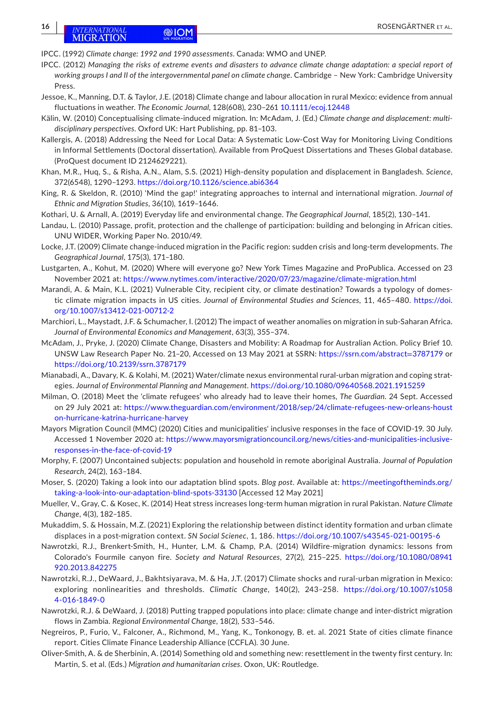<span id="page-15-0"></span>IPCC. (1992) *Climate change: 1992 and 1990 assessments*. Canada: WMO and UNEP.

- <span id="page-15-1"></span>IPCC. (2012) *Managing the risks of extreme events and disasters to advance climate change adaptation: a special report of working groups I and II of the intergovernmental panel on climate change*. Cambridge – New York: Cambridge University Press.
- <span id="page-15-15"></span>Jessoe, K., Manning, D.T. & Taylor, J.E. (2018) Climate change and labour allocation in rural Mexico: evidence from annual fluctuations in weather. *The Economic Journal*, 128(608), 230–261 [10.1111/ecoj.12448](https://doi.org/10.1111/ecoj.12448)
- <span id="page-15-2"></span>Kälin, W. (2010) Conceptualising climate-induced migration. In: McAdam, J. (Ed.) *Climate change and displacement: multidisciplinary perspectives*. Oxford UK: Hart Publishing, pp. 81–103.
- <span id="page-15-23"></span>Kallergis, A. (2018) Addressing the Need for Local Data: A Systematic Low-Cost Way for Monitoring Living Conditions in Informal Settlements (Doctoral dissertation). Available from ProQuest Dissertations and Theses Global database. (ProQuest document ID 2124629221).
- <span id="page-15-25"></span>Khan, M.R., Huq, S., & Risha, A.N., Alam, S.S. (2021) High-density population and displacement in Bangladesh. *Science*, 372(6548), 1290–1293.<https://doi.org/10.1126/science.abi6364>
- <span id="page-15-7"></span>King, R. & Skeldon, R. (2010) 'Mind the gap!' integrating approaches to internal and international migration. *Journal of Ethnic and Migration Studies*, 36(10), 1619–1646.
- <span id="page-15-5"></span>Kothari, U. & Arnall, A. (2019) Everyday life and environmental change. *The Geographical Journal*, 185(2), 130–141.
- <span id="page-15-18"></span>Landau, L. (2010) Passage, profit, protection and the challenge of participation: building and belonging in African cities. UNU WIDER, Working Paper No. 2010/49.
- <span id="page-15-13"></span>Locke, J.T. (2009) Climate change-induced migration in the Pacific region: sudden crisis and long-term developments. *The Geographical Journal*, 175(3), 171–180.
- <span id="page-15-16"></span>Lustgarten, A., Kohut, M. (2020) Where will everyone go? New York Times Magazine and ProPublica. Accessed on 23 November 2021 at:<https://www.nytimes.com/interactive/2020/07/23/magazine/climate-migration.html>
- <span id="page-15-19"></span>Marandi, A. & Main, K.L. (2021) Vulnerable City, recipient city, or climate destination? Towards a typology of domestic climate migration impacts in US cities. *Journal of Environmental Studies and Sciences*, 11, 465–480. [https://doi.](https://doi.org/10.1007/s13412-021-00712-2) [org/10.1007/s13412-021-00712-2](https://doi.org/10.1007/s13412-021-00712-2)
- <span id="page-15-14"></span>Marchiori, L., Maystadt, J.F. & Schumacher, I. (2012) The impact of weather anomalies on migration in sub-Saharan Africa. *Journal of Environmental Economics and Management*, 63(3), 355–374.
- <span id="page-15-9"></span>McAdam, J., Pryke, J. (2020) Climate Change, Disasters and Mobility: A Roadmap for Australian Action. Policy Brief 10. UNSW Law Research Paper No. 21–20, Accessed on 13 May 2021 at SSRN: [https://ssrn.com/abstract](https://ssrn.com/abstract=3787179)=3787179 or <https://doi.org/10.2139/ssrn.3787179>
- <span id="page-15-12"></span>Mianabadi, A., Davary, K. & Kolahi, M. (2021) Water/climate nexus environmental rural-urban migration and coping strategies. *Journal of Environmental Planning and Management*. <https://doi.org/10.1080/09640568.2021.1915259>
- <span id="page-15-17"></span>Milman, O. (2018) Meet the 'climate refugees' who already had to leave their homes, *The Guardian*. 24 Sept. Accessed on 29 July 2021 at: [https://www.theguardian.com/environment/2018/sep/24/climate-refugees-new-orleans-houst](https://www.theguardian.com/environment/2018/sep/24/climate-refugees-new-orleans-houston-hurricane-katrina-hurricane-harvey) [on-hurricane-katrina-hurricane-harvey](https://www.theguardian.com/environment/2018/sep/24/climate-refugees-new-orleans-houston-hurricane-katrina-hurricane-harvey)
- <span id="page-15-22"></span>Mayors Migration Council (MMC) (2020) Cities and municipalities' inclusive responses in the face of COVID-19. 30 July. Accessed 1 November 2020 at: [https://www.mayorsmigrationcouncil.org/news/cities-and-municipalities-inclusive](https://www.mayorsmigrationcouncil.org/news/cities-and-municipalities-inclusive-responses-in-the-face-of-covid-19)[responses-in-the-face-of-covid-19](https://www.mayorsmigrationcouncil.org/news/cities-and-municipalities-inclusive-responses-in-the-face-of-covid-19)
- <span id="page-15-4"></span>Morphy, F. (2007) Uncontained subjects: population and household in remote aboriginal Australia. *Journal of Population Research*, 24(2), 163–184.
- <span id="page-15-24"></span>Moser, S. (2020) Taking a look into our adaptation blind spots. *Blog post*. Available at: [https://meetingoftheminds.org/](https://meetingoftheminds.org/taking-a-look-into-our-adaptation-blind-spots-33130) [taking-a-look-into-our-adaptation-blind-spots-33130](https://meetingoftheminds.org/taking-a-look-into-our-adaptation-blind-spots-33130) [Accessed 12 May 2021]
- <span id="page-15-6"></span>Mueller, V., Gray, C. & Kosec, K. (2014) Heat stress increases long-term human migration in rural Pakistan. *Nature Climate Change*, 4(3), 182–185.
- <span id="page-15-20"></span>Mukaddim, S. & Hossain, M.Z. (2021) Exploring the relationship between distinct identity formation and urban climate displaces in a post-migration context. *SN Social Scienec*, 1, 186. <https://doi.org/10.1007/s43545-021-00195-6>
- <span id="page-15-10"></span>Nawrotzki, R.J., Brenkert-Smith, H., Hunter, L.M. & Champ, P.A. (2014) Wildfire-migration dynamics: lessons from Colorado's Fourmile canyon fire. *Society and Natural Resources*, 27(2), 215–225. [https://doi.org/10.1080/08941](https://doi.org/10.1080/08941920.2013.842275) [920.2013.842275](https://doi.org/10.1080/08941920.2013.842275)
- <span id="page-15-3"></span>Nawrotzki, R.J., DeWaard, J., Bakhtsiyarava, M. & Ha, J.T. (2017) Climate shocks and rural-urban migration in Mexico: exploring nonlinearities and thresholds. *Climatic Change*, 140(2), 243–258. [https://doi.org/10.1007/s1058](https://doi.org/10.1007/s10584-016-1849-0) [4-016-1849-0](https://doi.org/10.1007/s10584-016-1849-0)
- <span id="page-15-8"></span>Nawrotzki, R.J. & DeWaard, J. (2018) Putting trapped populations into place: climate change and inter-district migration flows in Zambia. *Regional Environmental Change*, 18(2), 533–546.
- <span id="page-15-21"></span>Negreiros, P., Furio, V., Falconer, A., Richmond, M., Yang, K., Tonkonogy, B. et. al. 2021 State of cities climate finance report. Cities Climate Finance Leadership Alliance (CCFLA). 30 June.
- <span id="page-15-11"></span>Oliver-Smith, A. & de Sherbinin, A. (2014) Something old and something new: resettlement in the twenty first century. In: Martin, S. et al. (Eds.) *Migration and humanitarian crises*. Oxon, UK: Routledge.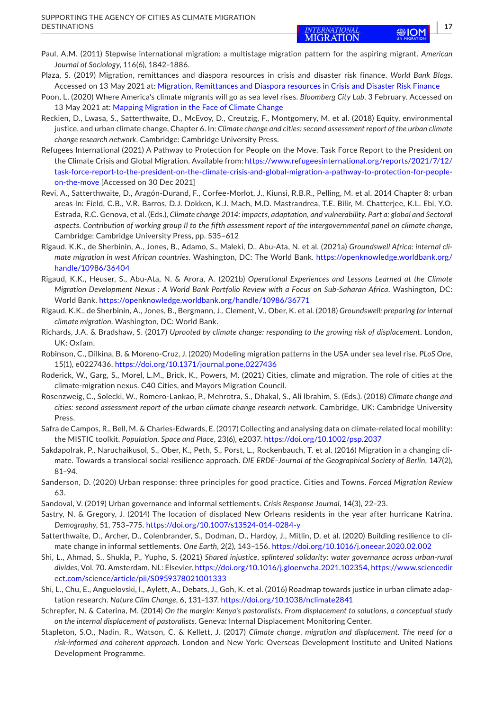- <span id="page-16-21"></span><span id="page-16-7"></span>Plaza, S. (2019) Migration, remittances and diaspora resources in crisis and disaster risk finance. *World Bank Blogs*. Accessed on 13 May 2021 at: [Migration, Remittances and Diaspora resources in Crisis and Disaster Risk Finance](https://blogs.worldbank.org/peoplemove/migration-remittances-and-diaspora-resources-crisis-and-disaster-risk-finance)
- <span id="page-16-15"></span>Poon, L. (2020) Where America's climate migrants will go as sea level rises. *Bloomberg City Lab*. 3 February. Accessed on 13 May 2021 at: [Mapping Migration in the Face of Climate Change](https://www.bloomberg.com/news/articles/2020-02-03/mapping-migration-in-the-face-of-climate-change)
- <span id="page-16-14"></span>Reckien, D., Lwasa, S., Satterthwaite, D., McEvoy, D., Creutzig, F., Montgomery, M. et al. (2018) Equity, environmental justice, and urban climate change, Chapter 6. In: *Climate change and cities: second assessment report of the urban climate change research network*. Cambridge: Cambridge University Press.
- <span id="page-16-0"></span>Refugees International (2021) A Pathway to Protection for People on the Move. Task Force Report to the President on the Climate Crisis and Global Migration. Available from: [https://www.refugeesinternational.org/reports/2021/7/12/](https://www.refugeesinternational.org/reports/2021/7/12/task-force-report-to-the-president-on-the-climate-crisis-and-global-migration-a-pathway-to-protection-for-people-on-the-move) [task-force-report-to-the-president-on-the-climate-crisis-and-global-migration-a-pathway-to-protection-for-people](https://www.refugeesinternational.org/reports/2021/7/12/task-force-report-to-the-president-on-the-climate-crisis-and-global-migration-a-pathway-to-protection-for-people-on-the-move)[on-the-move](https://www.refugeesinternational.org/reports/2021/7/12/task-force-report-to-the-president-on-the-climate-crisis-and-global-migration-a-pathway-to-protection-for-people-on-the-move) [Accessed on 30 Dec 2021]
- <span id="page-16-1"></span>Revi, A., Satterthwaite, D., Aragón-Durand, F., Corfee-Morlot, J., Kiunsi, R.B.R., Pelling, M. et al. 2014 Chapter 8: urban areas In: Field, C.B., V.R. Barros, D.J. Dokken, K.J. Mach, M.D. Mastrandrea, T.E. Bilir, M. Chatterjee, K.L. Ebi, Y.O. Estrada, R.C. Genova, et al. (Eds.), *Climate change 2014: impacts, adaptation, and vulnerability. Part a: global and Sectoral aspects. Contribution of working group II to the fifth assessment report of the intergovernmental panel on climate change*, Cambridge: Cambridge University Press, pp. 535–612
- <span id="page-16-13"></span>Rigaud, K.K., de Sherbinin, A., Jones, B., Adamo, S., Maleki, D., Abu-Ata, N. et al. (2021a) *Groundswell Africa: internal climate migration in west African countries*. Washington, DC: The World Bank. [https://openknowledge.worldbank.org/](https://openknowledge.worldbank.org/handle/10986/36404) [handle/10986/36404](https://openknowledge.worldbank.org/handle/10986/36404)
- <span id="page-16-18"></span>Rigaud, K.K., Heuser, S., Abu-Ata, N. & Arora, A. (2021b) *Operational Experiences and Lessons Learned at the Climate Migration Development Nexus : A World Bank Portfolio Review with a Focus on Sub-Saharan Africa*. Washington, DC: World Bank.<https://openknowledge.worldbank.org/handle/10986/36771>
- <span id="page-16-6"></span>Rigaud, K.K., de Sherbinin, A., Jones, B., Bergmann, J., Clement, V., Ober, K. et al. (2018) *Groundswell: preparing for internal climate migration*. Washington, DC: World Bank.
- <span id="page-16-8"></span>Richards, J.A. & Bradshaw, S. (2017) *Uprooted by climate change: responding to the growing risk of displacement*. London, UK: Oxfam.
- <span id="page-16-10"></span>Robinson, C., Dilkina, B. & Moreno-Cruz, J. (2020) Modeling migration patterns in the USA under sea level rise. *PLoS One*, 15(1), e0227436. <https://doi.org/10.1371/journal.pone.0227436>
- <span id="page-16-11"></span>Roderick, W., Garg, S., Morel, L.M., Brick, K., Powers, M. (2021) Cities, climate and migration. The role of cities at the climate-migration nexus. C40 Cities, and Mayors Migration Council.
- <span id="page-16-3"></span>Rosenzweig, C., Solecki, W., Romero-Lankao, P., Mehrotra, S., Dhakal, S., Ali Ibrahim, S. (Eds.). (2018) *Climate change and cities: second assessment report of the urban climate change research network*. Cambridge, UK: Cambridge University Press.
- <span id="page-16-4"></span>Safra de Campos, R., Bell, M. & Charles-Edwards, E. (2017) Collecting and analysing data on climate-related local mobility: the MISTIC toolkit. *Population, Space and Place*, 23(6), e2037.<https://doi.org/10.1002/psp.2037>
- <span id="page-16-20"></span>Sakdapolrak, P., Naruchaikusol, S., Ober, K., Peth, S., Porst, L., Rockenbauch, T. et al. (2016) Migration in a changing climate. Towards a translocal social resilience approach. *DIE ERDE–Journal of the Geographical Society of Berlin*, 147(2), 81–94.
- <span id="page-16-22"></span>Sanderson, D. (2020) Urban response: three principles for good practice. Cities and Towns. *Forced Migration Review* 63.
- <span id="page-16-16"></span>Sandoval, V. (2019) Urban governance and informal settlements. *Crisis Response Journal*, 14(3), 22–23.
- <span id="page-16-12"></span>Sastry, N. & Gregory, J. (2014) The location of displaced New Orleans residents in the year after hurricane Katrina. *Demography*, 51, 753–775. <https://doi.org/10.1007/s13524-014-0284-y>
- <span id="page-16-2"></span>Satterthwaite, D., Archer, D., Colenbrander, S., Dodman, D., Hardoy, J., Mitlin, D. et al. (2020) Building resilience to climate change in informal settlements. *One Earth*, 2(2), 143–156. <https://doi.org/10.1016/j.oneear.2020.02.002>
- <span id="page-16-17"></span>Shi, L., Ahmad, S., Shukla, P., Yupho, S. (2021) *Shared injustice, splintered solidarity: water governance across urban-rural divides*, Vol. 70. Amsterdam, NL: Elsevier.<https://doi.org/10.1016/j.gloenvcha.2021.102354>, [https://www.sciencedir](https://www.sciencedirect.com/science/article/pii/S0959378021001333) [ect.com/science/article/pii/S0959378021001333](https://www.sciencedirect.com/science/article/pii/S0959378021001333)
- <span id="page-16-19"></span>Shi, L., Chu, E., Anguelovski, I., Aylett, A., Debats, J., Goh, K. et al. (2016) Roadmap towards justice in urban climate adaptation research. *Nature Clim Change*, 6, 131–137. <https://doi.org/10.1038/nclimate2841>
- <span id="page-16-5"></span>Schrepfer, N. & Caterina, M. (2014) *On the margin: Kenya's pastoralists. From displacement to solutions, a conceptual study on the internal displacement of pastoralists*. Geneva: Internal Displacement Monitoring Center.
- <span id="page-16-9"></span>Stapleton, S.O., Nadin, R., Watson, C. & Kellett, J. (2017) *Climate change, migration and displacement. The need for a risk-informed and coherent approach*. London and New York: Overseas Development Institute and United Nations Development Programme.

(SHI)